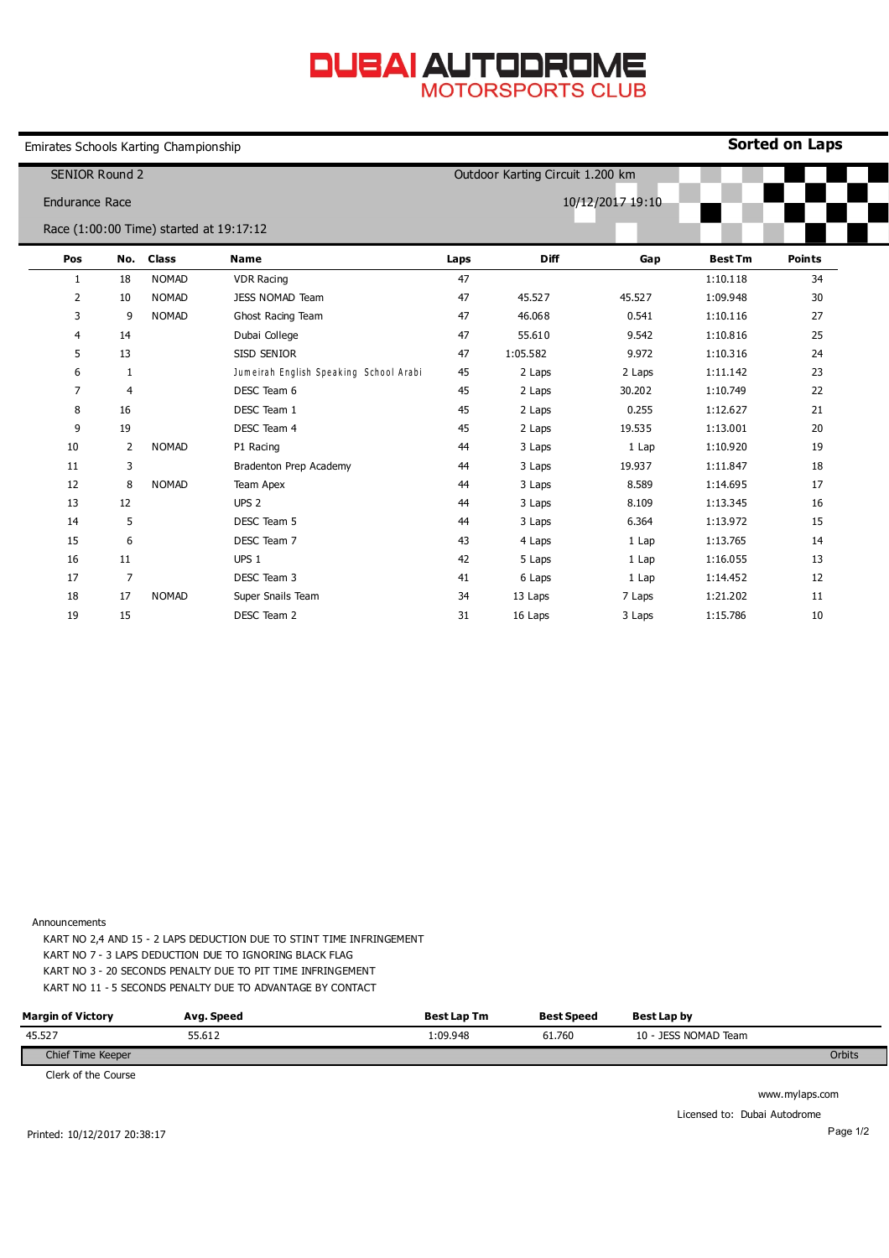## **DUBAI AUTODROME**

Emirates Schools Karting Championship

**Sorted on Laps**

| <b>SENIOR Round 2</b> |     |                                         |                                        | Outdoor Karting Circuit 1.200 km |             |        |                |               |  |
|-----------------------|-----|-----------------------------------------|----------------------------------------|----------------------------------|-------------|--------|----------------|---------------|--|
| <b>Endurance Race</b> |     |                                         |                                        | 10/12/2017 19:10                 |             |        |                |               |  |
|                       |     | Race (1:00:00 Time) started at 19:17:12 |                                        |                                  |             |        |                |               |  |
| Pos                   | No. | <b>Class</b>                            | <b>Name</b>                            | Laps                             | <b>Diff</b> | Gap    | <b>Best Tm</b> | <b>Points</b> |  |
| 1                     | 18  | <b>NOMAD</b>                            | <b>VDR Racing</b>                      | 47                               |             |        | 1:10.118       | 34            |  |
| 2                     | 10  | <b>NOMAD</b>                            | <b>JESS NOMAD Team</b>                 | 47                               | 45.527      | 45.527 | 1:09.948       | 30            |  |
| 3                     | 9   | <b>NOMAD</b>                            | Ghost Racing Team                      | 47                               | 46.068      | 0.541  | 1:10.116       | 27            |  |
| 4                     | 14  |                                         | Dubai College                          | 47                               | 55.610      | 9.542  | 1:10.816       | 25            |  |
| 5                     | 13  |                                         | SISD SENIOR                            | 47                               | 1:05.582    | 9.972  | 1:10.316       | 24            |  |
| 6                     | 1   |                                         | Jumeirah English Speaking School Arabi | 45                               | 2 Laps      | 2 Laps | 1:11.142       | 23            |  |
| $\overline{7}$        | 4   |                                         | DESC Team 6                            | 45                               | 2 Laps      | 30.202 | 1:10.749       | 22            |  |
| 8                     | 16  |                                         | DESC Team 1                            | 45                               | 2 Laps      | 0.255  | 1:12.627       | 21            |  |
| 9                     | 19  |                                         | DESC Team 4                            | 45                               | 2 Laps      | 19.535 | 1:13.001       | 20            |  |
| 10                    | 2   | <b>NOMAD</b>                            | P1 Racing                              | 44                               | 3 Laps      | 1 Lap  | 1:10.920       | 19            |  |
| 11                    | 3   |                                         | Bradenton Prep Academy                 | 44                               | 3 Laps      | 19.937 | 1:11.847       | 18            |  |
| 12                    | 8   | <b>NOMAD</b>                            | Team Apex                              | 44                               | 3 Laps      | 8.589  | 1:14.695       | 17            |  |
| 13                    | 12  |                                         | UPS <sub>2</sub>                       | 44                               | 3 Laps      | 8.109  | 1:13.345       | 16            |  |
| 14                    | 5   |                                         | DESC Team 5                            | 44                               | 3 Laps      | 6.364  | 1:13.972       | 15            |  |
| 15                    | 6   |                                         | DESC Team 7                            | 43                               | 4 Laps      | 1 Lap  | 1:13.765       | 14            |  |
| 16                    | 11  |                                         | UPS <sub>1</sub>                       | 42                               | 5 Laps      | 1 Lap  | 1:16.055       | 13            |  |
| 17                    | 7   |                                         | DESC Team 3                            | 41                               | 6 Laps      | 1 Lap  | 1:14.452       | 12            |  |
| 18                    | 17  | <b>NOMAD</b>                            | Super Snails Team                      | 34                               | 13 Laps     | 7 Laps | 1:21.202       | 11            |  |
| 19                    | 15  |                                         | DESC Team 2                            | 31                               | 16 Laps     | 3 Laps | 1:15.786       | 10            |  |

Announcements

KART NO 2,4 AND 15 - 2 LAPS DEDUCTION DUE TO STINT TIME INFRINGEMENT KART NO 7 - 3 LAPS DEDUCTION DUE TO IGNORING BLACK FLAG KART NO 3 - 20 SECONDS PENALTY DUE TO PIT TIME INFRINGEMENT KART NO 11 - 5 SECONDS PENALTY DUE TO ADVANTAGE BY CONTACT

| <b>Margin of Victory</b> | Avg. Speed | <b>Best Lap Tm</b> | <b>Best Speed</b> | Best Lap by          |        |
|--------------------------|------------|--------------------|-------------------|----------------------|--------|
| 45.527                   | 55.612     | :09.948            | 61.760            | 10 - JESS NOMAD Team |        |
| Chief Time Keeper        |            |                    |                   |                      | Orbits |

Clerk of the Course

www.mylaps.com

Licensed to: Dubai Autodrome